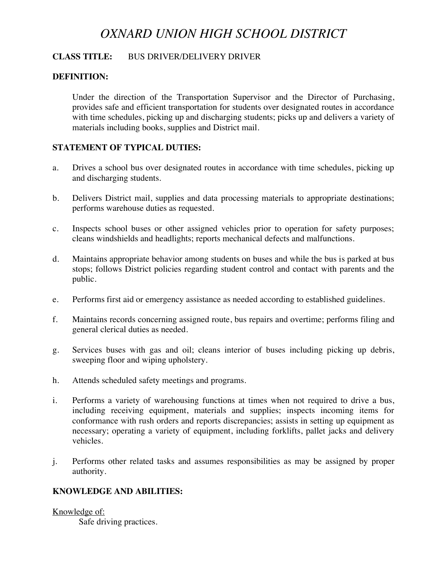# *OXNARD UNION HIGH SCHOOL DISTRICT*

# **CLASS TITLE:** BUS DRIVER/DELIVERY DRIVER

# **DEFINITION:**

 Under the direction of the Transportation Supervisor and the Director of Purchasing, provides safe and efficient transportation for students over designated routes in accordance with time schedules, picking up and discharging students; picks up and delivers a variety of materials including books, supplies and District mail.

# **STATEMENT OF TYPICAL DUTIES:**

- a. Drives a school bus over designated routes in accordance with time schedules, picking up and discharging students.
- b. Delivers District mail, supplies and data processing materials to appropriate destinations; performs warehouse duties as requested.
- c. Inspects school buses or other assigned vehicles prior to operation for safety purposes; cleans windshields and headlights; reports mechanical defects and malfunctions.
- d. Maintains appropriate behavior among students on buses and while the bus is parked at bus stops; follows District policies regarding student control and contact with parents and the public.
- e. Performs first aid or emergency assistance as needed according to established guidelines.
- f. Maintains records concerning assigned route, bus repairs and overtime; performs filing and general clerical duties as needed.
- g. Services buses with gas and oil; cleans interior of buses including picking up debris, sweeping floor and wiping upholstery.
- h. Attends scheduled safety meetings and programs.
- i. Performs a variety of warehousing functions at times when not required to drive a bus, including receiving equipment, materials and supplies; inspects incoming items for conformance with rush orders and reports discrepancies; assists in setting up equipment as necessary; operating a variety of equipment, including forklifts, pallet jacks and delivery vehicles.
- j. Performs other related tasks and assumes responsibilities as may be assigned by proper authority.

# **KNOWLEDGE AND ABILITIES:**

Knowledge of:

Safe driving practices.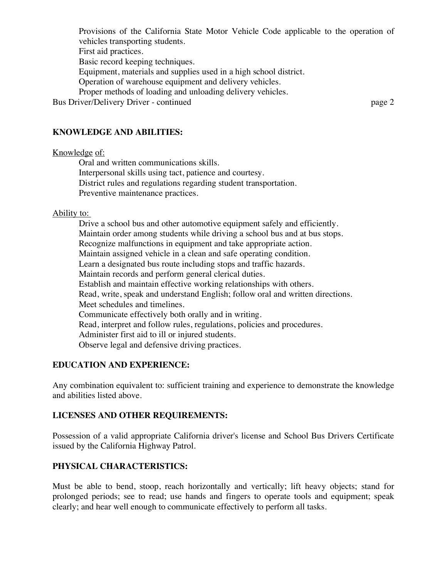Provisions of the California State Motor Vehicle Code applicable to the operation of vehicles transporting students. First aid practices. Basic record keeping techniques. Equipment, materials and supplies used in a high school district. Operation of warehouse equipment and delivery vehicles. Proper methods of loading and unloading delivery vehicles. Bus Driver/Delivery Driver - continued page 2

# **KNOWLEDGE AND ABILITIES:**

#### Knowledge of:

 Oral and written communications skills. Interpersonal skills using tact, patience and courtesy. District rules and regulations regarding student transportation. Preventive maintenance practices.

#### Ability to:

 Drive a school bus and other automotive equipment safely and efficiently. Maintain order among students while driving a school bus and at bus stops. Recognize malfunctions in equipment and take appropriate action. Maintain assigned vehicle in a clean and safe operating condition. Learn a designated bus route including stops and traffic hazards. Maintain records and perform general clerical duties. Establish and maintain effective working relationships with others. Read, write, speak and understand English; follow oral and written directions. Meet schedules and timelines. Communicate effectively both orally and in writing. Read, interpret and follow rules, regulations, policies and procedures. Administer first aid to ill or injured students. Observe legal and defensive driving practices.

# **EDUCATION AND EXPERIENCE:**

Any combination equivalent to: sufficient training and experience to demonstrate the knowledge and abilities listed above.

# **LICENSES AND OTHER REQUIREMENTS:**

Possession of a valid appropriate California driver's license and School Bus Drivers Certificate issued by the California Highway Patrol.

# **PHYSICAL CHARACTERISTICS:**

Must be able to bend, stoop, reach horizontally and vertically; lift heavy objects; stand for prolonged periods; see to read; use hands and fingers to operate tools and equipment; speak clearly; and hear well enough to communicate effectively to perform all tasks.